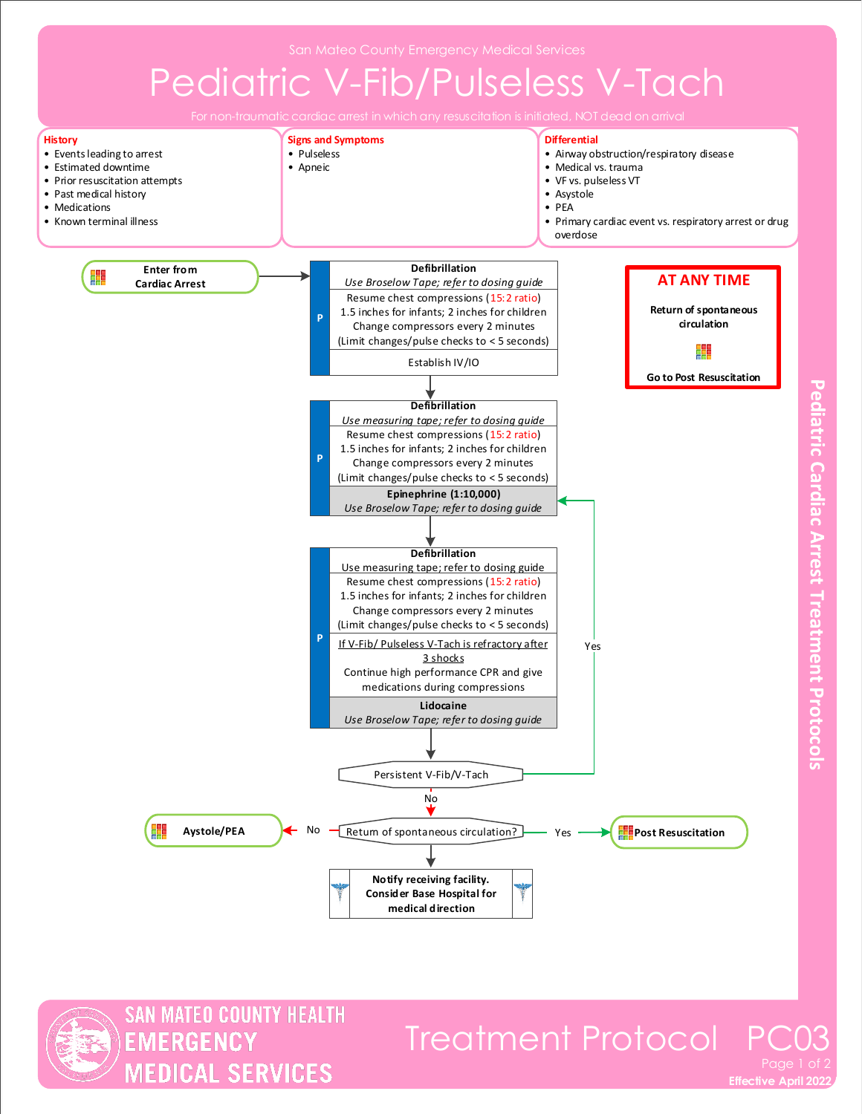## Pediatric V-Fib/Pulseless V-Tach



**MATEO COUNTY HEALTH** 

**MEDICAL SERVICES** 

**EMERGENCY** 

**Effective April 2022** 

Treatment Protocol PO